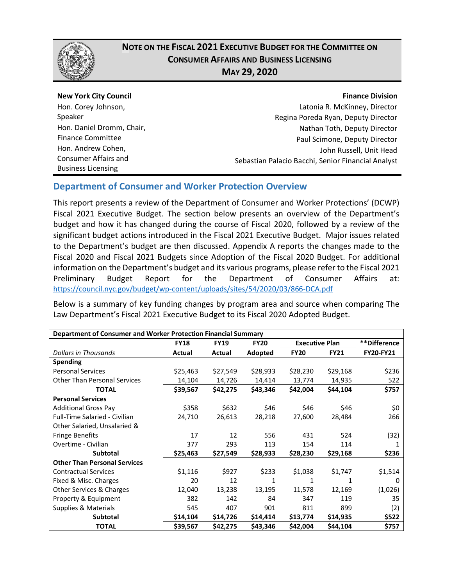

## **NOTE ON THE FISCAL 2021 EXECUTIVE BUDGET FOR THE COMMITTEE ON CONSUMER AFFAIRS AND BUSINESS LICENSING MAY 29, 2020**

**New York City Council** Hon. Corey Johnson, Speaker Hon. Daniel Dromm, Chair, Finance Committee Hon. Andrew Cohen, Consumer Affairs and Business Licensing

#### **Finance Division**

Latonia R. McKinney, Director Regina Poreda Ryan, Deputy Director Nathan Toth, Deputy Director Paul Scimone, Deputy Director John Russell, Unit Head Sebastian Palacio Bacchi, Senior Financial Analyst

### **Department of Consumer and Worker Protection Overview**

This report presents a review of the Department of Consumer and Worker Protections' (DCWP) Fiscal 2021 Executive Budget. The section below presents an overview of the Department's budget and how it has changed during the course of Fiscal 2020, followed by a review of the significant budget actions introduced in the Fiscal 2021 Executive Budget. Major issues related to the Department's budget are then discussed. Appendix A reports the changes made to the Fiscal 2020 and Fiscal 2021 Budgets since Adoption of the Fiscal 2020 Budget. For additional information on the Department's budget and its various programs, please refer to the Fiscal 2021 Preliminary Budget Report for the Department of Consumer Affairs at: <https://council.nyc.gov/budget/wp-content/uploads/sites/54/2020/03/866-DCA.pdf>

Below is a summary of key funding changes by program area and source when comparing The Law Department's Fiscal 2021 Executive Budget to its Fiscal 2020 Adopted Budget.

| Department of Consumer and Worker Protection Financial Summary |             |             |             |                       |             |                  |  |
|----------------------------------------------------------------|-------------|-------------|-------------|-----------------------|-------------|------------------|--|
|                                                                | <b>FY18</b> | <b>FY19</b> | <b>FY20</b> | <b>Executive Plan</b> |             | **Difference     |  |
| Dollars in Thousands                                           | Actual      | Actual      | Adopted     | <b>FY20</b>           | <b>FY21</b> | <b>FY20-FY21</b> |  |
| <b>Spending</b>                                                |             |             |             |                       |             |                  |  |
| <b>Personal Services</b>                                       | \$25,463    | \$27,549    | \$28,933    | \$28,230              | \$29,168    | \$236            |  |
| <b>Other Than Personal Services</b>                            | 14,104      | 14,726      | 14,414      | 13,774                | 14,935      | 522              |  |
| <b>TOTAL</b>                                                   | \$39,567    | \$42,275    | \$43,346    | \$42,004              | \$44,104    | \$757            |  |
| <b>Personal Services</b>                                       |             |             |             |                       |             |                  |  |
| <b>Additional Gross Pay</b>                                    | \$358       | \$632       | \$46        | \$46                  | \$46        | \$0              |  |
| <b>Full-Time Salaried - Civilian</b>                           | 24,710      | 26,613      | 28,218      | 27,600                | 28,484      | 266              |  |
| Other Salaried, Unsalaried &                                   |             |             |             |                       |             |                  |  |
| <b>Fringe Benefits</b>                                         | 17          | 12          | 556         | 431                   | 524         | (32)             |  |
| Overtime - Civilian                                            | 377         | 293         | 113         | 154                   | 114         |                  |  |
| Subtotal                                                       | \$25,463    | \$27,549    | \$28,933    | \$28,230              | \$29,168    | \$236            |  |
| <b>Other Than Personal Services</b>                            |             |             |             |                       |             |                  |  |
| <b>Contractual Services</b>                                    | \$1,116     | \$927       | \$233       | \$1,038               | \$1,747     | \$1,514          |  |
| Fixed & Misc. Charges                                          | 20          | 12          | 1           | 1                     | 1           | 0                |  |
| Other Services & Charges                                       | 12,040      | 13,238      | 13,195      | 11,578                | 12,169      | (1,026)          |  |
| Property & Equipment                                           | 382         | 142         | 84          | 347                   | 119         | 35               |  |
| Supplies & Materials                                           | 545         | 407         | 901         | 811                   | 899         | (2)              |  |
| Subtotal                                                       | \$14,104    | \$14,726    | \$14,414    | \$13,774              | \$14,935    | \$522            |  |
| <b>TOTAL</b>                                                   | \$39,567    | \$42,275    | \$43,346    | \$42,004              | \$44,104    | \$757            |  |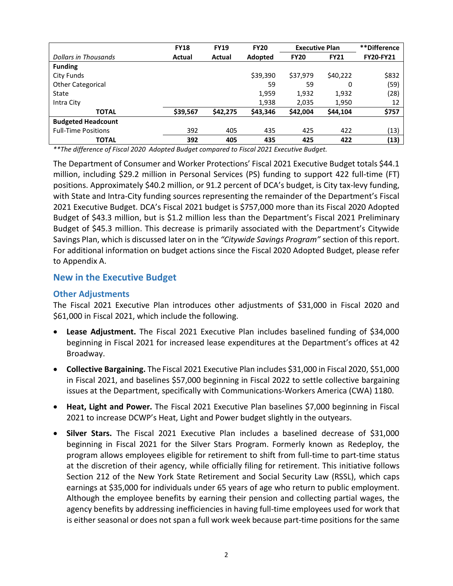|                            | <b>FY18</b> | <b>FY19</b> | <b>FY20</b> | <b>Executive Plan</b> |             | **Difference     |
|----------------------------|-------------|-------------|-------------|-----------------------|-------------|------------------|
| Dollars in Thousands       | Actual      | Actual      | Adopted     | <b>FY20</b>           | <b>FY21</b> | <b>FY20-FY21</b> |
| <b>Funding</b>             |             |             |             |                       |             |                  |
| City Funds                 |             |             | \$39,390    | \$37.979              | \$40,222    | \$832            |
| <b>Other Categorical</b>   |             |             | 59          | 59                    | 0           | (59)             |
| State                      |             |             | 1,959       | 1,932                 | 1,932       | (28)             |
| Intra City                 |             |             | 1,938       | 2,035                 | 1,950       | 12               |
| <b>TOTAL</b>               | \$39,567    | \$42,275    | \$43,346    | \$42,004              | \$44,104    | \$757            |
| <b>Budgeted Headcount</b>  |             |             |             |                       |             |                  |
| <b>Full-Time Positions</b> | 392         | 405         | 435         | 425                   | 422         | (13)             |
| <b>TOTAL</b>               | 392         | 405         | 435         | 425                   | 422         | (13)             |

*\*\*The difference of Fiscal 2020 Adopted Budget compared to Fiscal 2021 Executive Budget.*

The Department of Consumer and Worker Protections' Fiscal 2021 Executive Budget totals \$44.1 million, including \$29.2 million in Personal Services (PS) funding to support 422 full-time (FT) positions. Approximately \$40.2 million, or 91.2 percent of DCA's budget, is City tax-levy funding, with State and Intra-City funding sources representing the remainder of the Department's Fiscal 2021 Executive Budget. DCA's Fiscal 2021 budget is \$757,000 more than its Fiscal 2020 Adopted Budget of \$43.3 million, but is \$1.2 million less than the Department's Fiscal 2021 Preliminary Budget of \$45.3 million. This decrease is primarily associated with the Department's Citywide Savings Plan, which is discussed later on in the *"Citywide Savings Program"* section of this report. For additional information on budget actions since the Fiscal 2020 Adopted Budget, please refer to Appendix A.

#### **New in the Executive Budget**

#### **Other Adjustments**

The Fiscal 2021 Executive Plan introduces other adjustments of \$31,000 in Fiscal 2020 and \$61,000 in Fiscal 2021, which include the following.

- **Lease Adjustment.** The Fiscal 2021 Executive Plan includes baselined funding of \$34,000 beginning in Fiscal 2021 for increased lease expenditures at the Department's offices at 42 Broadway.
- **Collective Bargaining.** The Fiscal 2021 Executive Plan includes \$31,000 in Fiscal 2020, \$51,000 in Fiscal 2021, and baselines \$57,000 beginning in Fiscal 2022 to settle collective bargaining issues at the Department, specifically with Communications-Workers America (CWA) 1180.
- **Heat, Light and Power.** The Fiscal 2021 Executive Plan baselines \$7,000 beginning in Fiscal 2021 to increase DCWP's Heat, Light and Power budget slightly in the outyears.
- **Silver Stars.** The Fiscal 2021 Executive Plan includes a baselined decrease of \$31,000 beginning in Fiscal 2021 for the Silver Stars Program. Formerly known as Redeploy, the program allows employees eligible for retirement to shift from full-time to part-time status at the discretion of their agency, while officially filing for retirement. This initiative follows Section 212 of the New York State Retirement and Social Security Law (RSSL), which caps earnings at \$35,000 for individuals under 65 years of age who return to public employment. Although the employee benefits by earning their pension and collecting partial wages, the agency benefits by addressing inefficiencies in having full-time employees used for work that is either seasonal or does not span a full work week because part-time positions for the same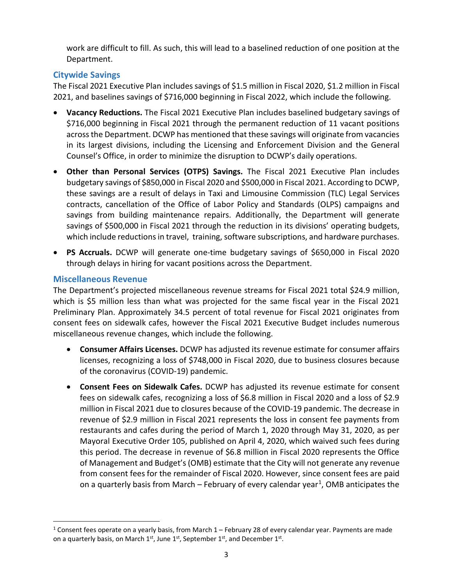work are difficult to fill. As such, this will lead to a baselined reduction of one position at the Department.

### **Citywide Savings**

The Fiscal 2021 Executive Plan includes savings of \$1.5 million in Fiscal 2020, \$1.2 million in Fiscal 2021, and baselines savings of \$716,000 beginning in Fiscal 2022, which include the following.

- **Vacancy Reductions.** The Fiscal 2021 Executive Plan includes baselined budgetary savings of \$716,000 beginning in Fiscal 2021 through the permanent reduction of 11 vacant positions across the Department. DCWP has mentioned that these savings will originate from vacancies in its largest divisions, including the Licensing and Enforcement Division and the General Counsel's Office, in order to minimize the disruption to DCWP's daily operations.
- **Other than Personal Services (OTPS) Savings.** The Fiscal 2021 Executive Plan includes budgetary savings of \$850,000 in Fiscal 2020 and \$500,000 in Fiscal 2021. According to DCWP, these savings are a result of delays in Taxi and Limousine Commission (TLC) Legal Services contracts, cancellation of the Office of Labor Policy and Standards (OLPS) campaigns and savings from building maintenance repairs. Additionally, the Department will generate savings of \$500,000 in Fiscal 2021 through the reduction in its divisions' operating budgets, which include reductions in travel, training, software subscriptions, and hardware purchases.
- **PS Accruals.** DCWP will generate one-time budgetary savings of \$650,000 in Fiscal 2020 through delays in hiring for vacant positions across the Department.

### **Miscellaneous Revenue**

The Department's projected miscellaneous revenue streams for Fiscal 2021 total \$24.9 million, which is \$5 million less than what was projected for the same fiscal year in the Fiscal 2021 Preliminary Plan. Approximately 34.5 percent of total revenue for Fiscal 2021 originates from consent fees on sidewalk cafes, however the Fiscal 2021 Executive Budget includes numerous miscellaneous revenue changes, which include the following.

- **Consumer Affairs Licenses.** DCWP has adjusted its revenue estimate for consumer affairs licenses, recognizing a loss of \$748,000 in Fiscal 2020, due to business closures because of the coronavirus (COVID-19) pandemic.
- **Consent Fees on Sidewalk Cafes.** DCWP has adjusted its revenue estimate for consent fees on sidewalk cafes, recognizing a loss of \$6.8 million in Fiscal 2020 and a loss of \$2.9 million in Fiscal 2021 due to closures because of the COVID-19 pandemic. The decrease in revenue of \$2.9 million in Fiscal 2021 represents the loss in consent fee payments from restaurants and cafes during the period of March 1, 2020 through May 31, 2020, as per Mayoral Executive Order 105, published on April 4, 2020, which waived such fees during this period. The decrease in revenue of \$6.8 million in Fiscal 2020 represents the Office of Management and Budget's (OMB) estimate that the City will not generate any revenue from consent fees for the remainder of Fiscal 2020. However, since consent fees are paid on a quarterly basis from March  $-$  February of every calendar year<sup>1</sup>, OMB anticipates the

<span id="page-2-0"></span> $1$  Consent fees operate on a yearly basis, from March  $1$  – February 28 of every calendar year. Payments are made on a quarterly basis, on March  $1^{st}$ , June  $1^{st}$ , September  $1^{st}$ , and December  $1^{st}$ .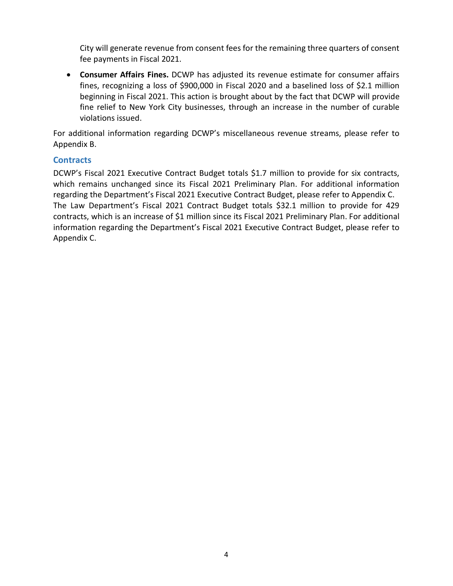City will generate revenue from consent fees for the remaining three quarters of consent fee payments in Fiscal 2021.

• **Consumer Affairs Fines.** DCWP has adjusted its revenue estimate for consumer affairs fines, recognizing a loss of \$900,000 in Fiscal 2020 and a baselined loss of \$2.1 million beginning in Fiscal 2021. This action is brought about by the fact that DCWP will provide fine relief to New York City businesses, through an increase in the number of curable violations issued.

For additional information regarding DCWP's miscellaneous revenue streams, please refer to Appendix B.

#### **Contracts**

DCWP's Fiscal 2021 Executive Contract Budget totals \$1.7 million to provide for six contracts, which remains unchanged since its Fiscal 2021 Preliminary Plan. For additional information regarding the Department's Fiscal 2021 Executive Contract Budget, please refer to Appendix C. The Law Department's Fiscal 2021 Contract Budget totals \$32.1 million to provide for 429 contracts, which is an increase of \$1 million since its Fiscal 2021 Preliminary Plan. For additional information regarding the Department's Fiscal 2021 Executive Contract Budget, please refer to Appendix C.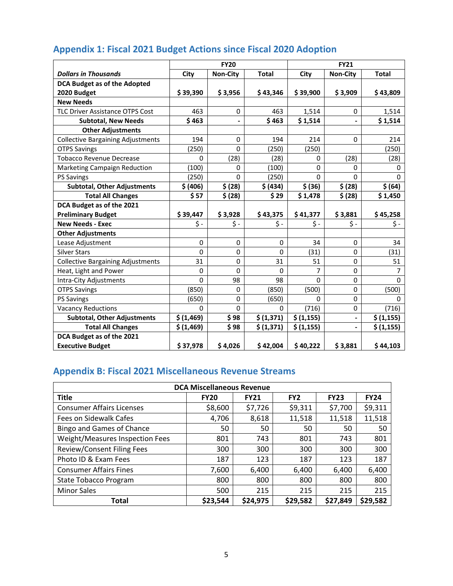|                                          | <b>FY20</b>  |                 |              | <b>FY21</b>             |                              |              |
|------------------------------------------|--------------|-----------------|--------------|-------------------------|------------------------------|--------------|
| <b>Dollars in Thousands</b>              | City         | <b>Non-City</b> | <b>Total</b> | City                    | <b>Non-City</b>              | <b>Total</b> |
| <b>DCA Budget as of the Adopted</b>      |              |                 |              |                         |                              |              |
| 2020 Budget                              | \$39,390     | \$3,956         | \$43,346     | \$39,900                | \$3,909                      | \$43,809     |
| <b>New Needs</b>                         |              |                 |              |                         |                              |              |
| <b>TLC Driver Assistance OTPS Cost</b>   | 463          | 0               | 463          | 1,514                   | 0                            | 1,514        |
| <b>Subtotal, New Needs</b>               | \$463        | $\overline{a}$  | \$463        | \$1,514                 | $\overline{a}$               | \$1,514      |
| <b>Other Adjustments</b>                 |              |                 |              |                         |                              |              |
| <b>Collective Bargaining Adjustments</b> | 194          | 0               | 194          | 214                     | 0                            | 214          |
| <b>OTPS Savings</b>                      | (250)        | $\Omega$        | (250)        | (250)                   |                              | (250)        |
| <b>Tobacco Revenue Decrease</b>          | 0            | (28)            | (28)         | 0                       | (28)                         | (28)         |
| Marketing Campaign Reduction             | (100)        | 0               | (100)        | 0                       | 0                            | 0            |
| <b>PS Savings</b>                        | (250)        | $\Omega$        | (250)        | $\Omega$                | 0                            | $\mathbf{0}$ |
| <b>Subtotal, Other Adjustments</b>       | \$ (406)     | \$ (28)         | \$ (434)     | \$ (36)                 | \$ (28)                      | \$ (64)      |
| <b>Total All Changes</b>                 | \$57         | \$ (28)         | \$29         | \$1,478                 | \$ (28)                      | \$1,450      |
| DCA Budget as of the 2021                |              |                 |              |                         |                              |              |
| <b>Preliminary Budget</b>                | \$39,447     | \$3,928         | \$43,375     | \$41,377                | \$3,881                      | \$45,258     |
| <b>New Needs - Exec</b>                  | $\zeta$ -    | $\zeta$ -       | $\zeta$ -    | $\mathsf{\mathsf{S}}$ - | Ś -                          | \$-          |
| <b>Other Adjustments</b>                 |              |                 |              |                         |                              |              |
| Lease Adjustment                         | $\mathbf 0$  | 0               | $\mathbf 0$  | 34                      | 0                            | 34           |
| <b>Silver Stars</b>                      | $\mathbf{0}$ | $\Omega$        | $\Omega$     | (31)                    | 0                            | (31)         |
| <b>Collective Bargaining Adjustments</b> | 31           | $\mathbf 0$     | 31           | 51                      | 0                            | 51           |
| Heat, Light and Power                    | $\mathbf{0}$ | $\Omega$        | $\mathbf{0}$ | 7                       | 0                            | 7            |
| Intra-City Adjustments                   | $\Omega$     | 98              | 98           | $\Omega$                | 0                            | $\Omega$     |
| <b>OTPS Savings</b>                      | (850)        | $\Omega$        | (850)        | (500)                   | 0                            | (500)        |
| <b>PS Savings</b>                        | (650)        | $\mathbf 0$     | (650)        | 0                       | 0                            | $\Omega$     |
| <b>Vacancy Reductions</b>                | 0            | $\Omega$        | 0            | (716)                   | 0                            | (716)        |
| <b>Subtotal, Other Adjustments</b>       | \$(1,469)    | \$98            | \$ (1,371)   | \$ (1, 155)             | $\blacksquare$               | \$ (1,155)   |
| <b>Total All Changes</b>                 | \$ (1,469)   | \$98            | \$ (1,371)   | \$ (1, 155)             | $\qquad \qquad \blacksquare$ | \$ (1, 155)  |
| DCA Budget as of the 2021                |              |                 |              |                         |                              |              |
| <b>Executive Budget</b>                  | \$37,978     | \$4,026         | \$42,004     | \$40,222                | \$3,881                      | \$44,103     |

# **Appendix 1: Fiscal 2021 Budget Actions since Fiscal 2020 Adoption**

# **Appendix B: Fiscal 2021 Miscellaneous Revenue Streams**

| <b>DCA Miscellaneous Revenue</b>  |             |             |                 |             |             |  |  |
|-----------------------------------|-------------|-------------|-----------------|-------------|-------------|--|--|
| <b>Title</b>                      | <b>FY20</b> | <b>FY21</b> | FY <sub>2</sub> | <b>FY23</b> | <b>FY24</b> |  |  |
| <b>Consumer Affairs Licenses</b>  | \$8,600     | \$7,726     | \$9,311         | \$7,700     | \$9,311     |  |  |
| Fees on Sidewalk Cafes            | 4,706       | 8,618       | 11,518          | 11,518      | 11,518      |  |  |
| Bingo and Games of Chance         | 50          | 50          | 50              | 50          | 50          |  |  |
| Weight/Measures Inspection Fees   | 801         | 743         | 801             | 743         | 801         |  |  |
| <b>Review/Consent Filing Fees</b> | 300         | 300         | 300             | 300         | 300         |  |  |
| Photo ID & Exam Fees              | 187         | 123         | 187             | 123         | 187         |  |  |
| <b>Consumer Affairs Fines</b>     | 7,600       | 6,400       | 6,400           | 6,400       | 6,400       |  |  |
| <b>State Tobacco Program</b>      | 800         | 800         | 800             | 800         | 800         |  |  |
| <b>Minor Sales</b>                | 500         | 215         | 215             | 215         | 215         |  |  |
| <b>Total</b>                      | \$23,544    | \$24,975    | \$29,582        | \$27,849    | \$29,582    |  |  |